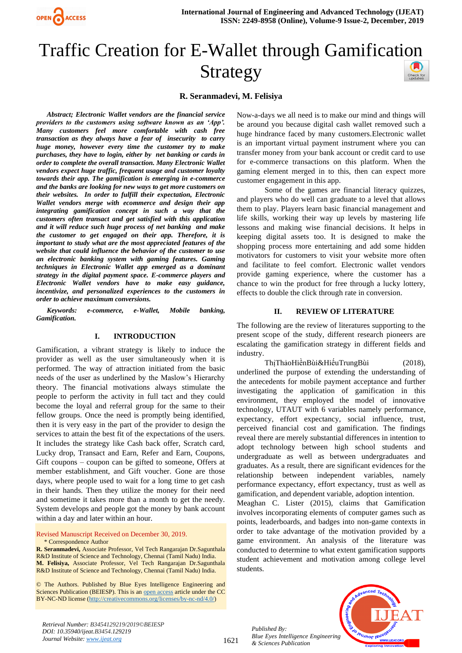

# Traffic Creation for E-Wallet through Gamification Strategy

#### **R. Seranmadevi, M. Felisiya**

*Abstract; Electronic Wallet vendors are the financial service providers to the customers using software known as an 'App'. Many customers feel more comfortable with cash free transaction as they always have a fear of insecurity to carry huge money, however every time the customer try to make purchases, they have to login, either by net banking or cards in order to complete the overall transaction. Many Electronic Wallet vendors expect huge traffic, frequent usage and customer loyalty towards their app. The gamification is emerging in e-commerce and the banks are looking for new ways to get more customers on their websites. In order to fulfill their expectation, Electronic Wallet vendors merge with ecommerce and design their app integrating gamification concept in such a way that the customers often transact and get satisfied with this application and it will reduce such huge process of net banking and make the customer to get engaged on their app. Therefore, it is important to study what are the most appreciated features of the website that could influence the behavior of the customer to use an electronic banking system with gaming features. Gaming techniques in Electronic Wallet app emerged as a dominant strategy in the digital payment space. E-commerce players and Electronic Wallet vendors have to make easy guidance, incentivize, and personalized experiences to the customers in order to achieve maximum conversions.* 

*Keywords: e-commerce, e-Wallet, Mobile banking, Gamification.*

#### **I. INTRODUCTION**

Gamification, a vibrant strategy is likely to induce the provider as well as the user simultaneously when it is performed. The way of attraction initiated from the basic needs of the user as underlined by the Maslow's Hierarchy theory. The financial motivations always stimulate the people to perform the activity in full tact and they could become the loyal and referral group for the same to their fellow groups. Once the need is promptly being identified, then it is very easy in the part of the provider to design the services to attain the best fit of the expectations of the users. It includes the strategy like Cash back offer, Scratch card, Lucky drop, Transact and Earn, Refer and Earn, Coupons, Gift coupons – coupon can be gifted to someone, Offers at member establishment, and Gift voucher. Gone are those days, where people used to wait for a long time to get cash in their hands. Then they utilize the money for their need and sometime it takes more than a month to get the needy. System develops and people got the money by bank account within a day and later within an hour.

Revised Manuscript Received on December 30, 2019. \* Correspondence Author

© The Authors. Published by Blue Eyes Intelligence Engineering and Sciences Publication (BEIESP). This is an [open access](https://www.openaccess.nl/en/open-publications) article under the CC BY-NC-ND license [\(http://creativecommons.org/licenses/by-nc-nd/4.0/\)](http://creativecommons.org/licenses/by-nc-nd/4.0/)

Now-a-days we all need is to make our mind and things will be around you because digital cash wallet removed such a huge hindrance faced by many customers.Electronic wallet is an important virtual payment instrument where you can transfer money from your bank account or credit card to use for e-commerce transactions on this platform. When the gaming element merged in to this, then can expect more customer engagement in this app.

Some of the games are financial literacy quizzes, and players who do well can graduate to a level that allows them to play. Players learn basic financial management and life skills, working their way up levels by mastering life lessons and making wise financial decisions. It helps in keeping digital assets too. It is designed to make the shopping process more entertaining and add some hidden motivators for customers to visit your website more often and facilitate to feel comfort. Electronic wallet vendors provide gaming experience, where the customer has a chance to win the product for free through a lucky lottery, effects to double the click through rate in conversion.

#### **II. REVIEW OF LITERATURE**

The following are the review of literatures supporting to the present scope of the study, different research pioneers are escalating the gamification strategy in different fields and industry.

ThịThảoHiềnBùi&HiếuTrungBùi (2018), underlined the purpose of extending the understanding of the antecedents for mobile payment acceptance and further investigating the application of gamification in this environment, they employed the model of innovative technology, UTAUT with 6 variables namely performance, expectancy, effort expectancy, social influence, trust, perceived financial cost and gamification. The findings reveal there are merely substantial differences in intention to adopt technology between high school students and undergraduate as well as between undergraduates and graduates. As a result, there are significant evidences for the relationship between independent variables, namely performance expectancy, effort expectancy, trust as well as gamification, and dependent variable, adoption intention.

Meaghan C. Lister (2015), claims that Gamification involves incorporating elements of computer games such as points, leaderboards, and badges into non-game contexts in order to take advantage of the motivation provided by a game environment. An analysis of the literature was conducted to determine to what extent gamification supports student achievement and motivation among college level students.

*Published By: Blue Eyes Intelligence Engineering & Sciences Publication* 



*Retrieval Number: B3454129219/2019©BEIESP DOI: 10.35940/ijeat.B3454.129219 Journal Website[: www.ijeat.org](http://www.ijeat.org/)*

**R. Seranmadevi,** Associate Professor, Vel Tech Rangarajan Dr.Sagunthala R&D Institute of Science and Technology, Chennai (Tamil Nadu) India. **M. Felisiya,** Associate Professor, Vel Tech Rangarajan Dr.Sagunthala R&D Institute of Science and Technology, Chennai (Tamil Nadu) India.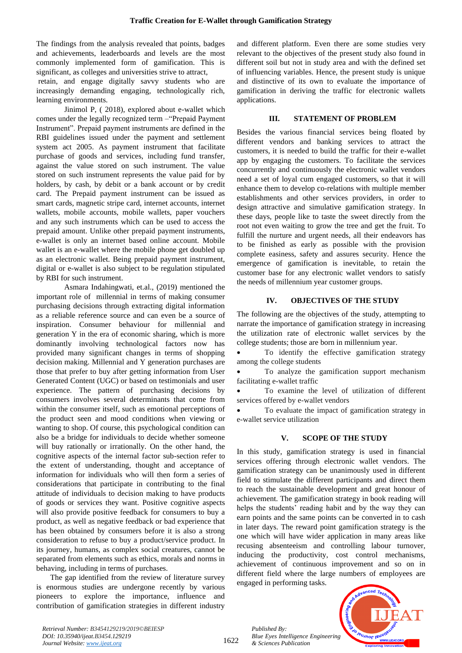The findings from the analysis revealed that points, badges and achievements, leaderboards and levels are the most commonly implemented form of gamification. This is significant, as colleges and universities strive to attract,

retain, and engage digitally savvy students who are increasingly demanding engaging, technologically rich, learning environments.

Jinimol P, ( 2018), explored about e-wallet which comes under the legally recognized term –"Prepaid Payment Instrument". Prepaid payment instruments are defined in the RBI guidelines issued under the payment and settlement system act 2005. As payment instrument that facilitate purchase of goods and services, including fund transfer, against the value stored on such instrument. The value stored on such instrument represents the value paid for by holders, by cash, by debit or a bank account or by credit card. The Prepaid payment instrument can be issued as smart cards, magnetic stripe card, internet accounts, internet wallets, mobile accounts, mobile wallets, paper vouchers and any such instruments which can be used to access the prepaid amount. Unlike other prepaid payment instruments, e-wallet is only an internet based online account. Mobile wallet is an e-wallet where the mobile phone get doubled up as an electronic wallet. Being prepaid payment instrument, digital or e-wallet is also subject to be regulation stipulated by RBI for such instrument.

Asmara Indahingwati, et.al., (2019) mentioned the important role of millennial in terms of making consumer purchasing decisions through extracting digital information as a reliable reference source and can even be a source of inspiration. Consumer behaviour for millennial and generation Y in the era of economic sharing, which is more dominantly involving technological factors now has provided many significant changes in terms of shopping decision making. Millennial and Y generation purchases are those that prefer to buy after getting information from User Generated Content (UGC) or based on testimonials and user experience. The pattern of purchasing decisions by consumers involves several determinants that come from within the consumer itself, such as emotional perceptions of the product seen and mood conditions when viewing or wanting to shop. Of course, this psychological condition can also be a bridge for individuals to decide whether someone will buy rationally or irrationally. On the other hand, the cognitive aspects of the internal factor sub-section refer to the extent of understanding, thought and acceptance of information for individuals who will then form a series of considerations that participate in contributing to the final attitude of individuals to decision making to have products of goods or services they want. Positive cognitive aspects will also provide positive feedback for consumers to buy a product, as well as negative feedback or bad experience that has been obtained by consumers before it is also a strong consideration to refuse to buy a product/service product. In its journey, humans, as complex social creatures, cannot be separated from elements such as ethics, morals and norms in behaving, including in terms of purchases.

The gap identified from the review of literature survey is enormous studies are undergone recently by various pioneers to explore the importance, influence and contribution of gamification strategies in different industry and different platform. Even there are some studies very relevant to the objectives of the present study also found in different soil but not in study area and with the defined set of influencing variables. Hence, the present study is unique and distinctive of its own to evaluate the importance of gamification in deriving the traffic for electronic wallets applications.

### **III. STATEMENT OF PROBLEM**

Besides the various financial services being floated by different vendors and banking services to attract the customers, it is needed to build the traffic for their e-wallet app by engaging the customers. To facilitate the services concurrently and continuously the electronic wallet vendors need a set of loyal cum engaged customers, so that it will enhance them to develop co-relations with multiple member establishments and other services providers, in order to design attractive and simulative gamification strategy. In these days, people like to taste the sweet directly from the root not even waiting to grow the tree and get the fruit. To fulfill the nurture and urgent needs, all their endeavors has to be finished as early as possible with the provision complete easiness, safety and assures security. Hence the emergence of gamification is inevitable, to retain the customer base for any electronic wallet vendors to satisfy the needs of millennium year customer groups.

## **IV. OBJECTIVES OF THE STUDY**

The following are the objectives of the study, attempting to narrate the importance of gamification strategy in increasing the utilization rate of electronic wallet services by the college students; those are born in millennium year.

To identify the effective gamification strategy among the college students

• To analyze the gamification support mechanism facilitating e-wallet traffic

To examine the level of utilization of different services offered by e-wallet vendors

To evaluate the impact of gamification strategy in e-wallet service utilization

# **V. SCOPE OF THE STUDY**

In this study, gamification strategy is used in financial services offering through electronic wallet vendors. The gamification strategy can be unanimously used in different field to stimulate the different participants and direct them to reach the sustainable development and great honour of achievement. The gamification strategy in book reading will helps the students' reading habit and by the way they can earn points and the same points can be converted in to cash in later days. The reward point gamification strategy is the one which will have wider application in many areas like recusing absenteeism and controlling labour turnover, inducing the productivity, cost control mechanisms, achievement of continuous improvement and so on in different field where the large numbers of employees are engaged in performing tasks.

*Published By: Blue Eyes Intelligence Engineering & Sciences Publication* 



*Retrieval Number: B3454129219/2019©BEIESP DOI: 10.35940/ijeat.B3454.129219 Journal Website[: www.ijeat.org](http://www.ijeat.org/)*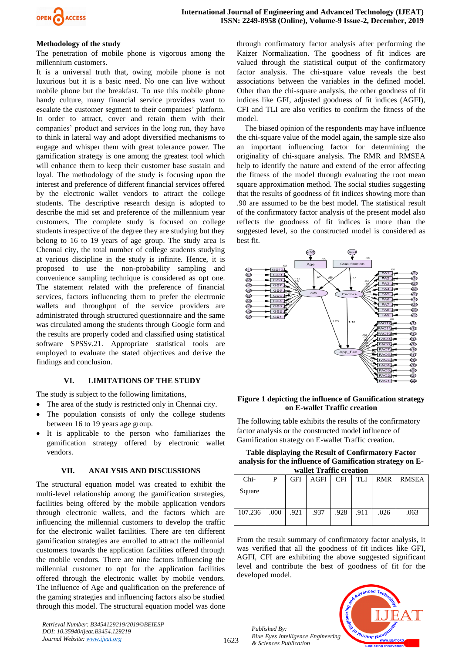

#### **Methodology of the study**

The penetration of mobile phone is vigorous among the millennium customers.

It is a universal truth that, owing mobile phone is not luxurious but it is a basic need. No one can live without mobile phone but the breakfast. To use this mobile phone handy culture, many financial service providers want to escalate the customer segment to their companies' platform. In order to attract, cover and retain them with their companies' product and services in the long run, they have to think in lateral way and adopt diversified mechanisms to engage and whisper them with great tolerance power. The gamification strategy is one among the greatest tool which will enhance them to keep their customer base sustain and loyal. The methodology of the study is focusing upon the interest and preference of different financial services offered by the electronic wallet vendors to attract the college students. The descriptive research design is adopted to describe the mid set and preference of the millennium year customers. The complete study is focused on college students irrespective of the degree they are studying but they belong to 16 to 19 years of age group. The study area is Chennai city, the total number of college students studying at various discipline in the study is infinite. Hence, it is proposed to use the non-probability sampling and convenience sampling technique is considered as opt one. The statement related with the preference of financial services, factors influencing them to prefer the electronic wallets and throughput of the service providers are administrated through structured questionnaire and the same was circulated among the students through Google form and the results are properly coded and classified using statistical software SPSSv.21. Appropriate statistical tools are employed to evaluate the stated objectives and derive the findings and conclusion.

### **VI. LIMITATIONS OF THE STUDY**

The study is subject to the following limitations,

- The area of the study is restricted only in Chennai city.
- The population consists of only the college students between 16 to 19 years age group.
- It is applicable to the person who familiarizes the gamification strategy offered by electronic wallet vendors.

#### **VII. ANALYSIS AND DISCUSSIONS**

The structural equation model was created to exhibit the multi-level relationship among the gamification strategies, facilities being offered by the mobile application vendors through electronic wallets, and the factors which are influencing the millennial customers to develop the traffic for the electronic wallet facilities. There are ten different gamification strategies are enrolled to attract the millennial customers towards the application facilities offered through the mobile vendors. There are nine factors influencing the millennial customer to opt for the application facilities offered through the electronic wallet by mobile vendors. The influence of Age and qualification on the preference of the gaming strategies and influencing factors also be studied through this model. The structural equation model was done

*Retrieval Number: B3454129219/2019©BEIESP*

*DOI: 10.35940/ijeat.B3454.129219 Journal Website[: www.ijeat.org](http://www.ijeat.org/)*

through confirmatory factor analysis after performing the Kaizer Normalization. The goodness of fit indices are valued through the statistical output of the confirmatory factor analysis. The chi-square value reveals the best associations between the variables in the defined model. Other than the chi-square analysis, the other goodness of fit indices like GFI, adjusted goodness of fit indices (AGFI), CFI and TLI are also verifies to confirm the fitness of the model.

 The biased opinion of the respondents may have influence the chi-square value of the model again, the sample size also an important influencing factor for determining the originality of chi-square analysis. The RMR and RMSEA help to identify the nature and extend of the error affecting the fitness of the model through evaluating the root mean square approximation method. The social studies suggesting that the results of goodness of fit indices showing more than .90 are assumed to be the best model. The statistical result of the confirmatory factor analysis of the present model also reflects the goodness of fit indices is more than the suggested level, so the constructed model is considered as best fit.



#### **Figure 1 depicting the influence of Gamification strategy on E-wallet Traffic creation**

The following table exhibits the results of the confirmatory factor analysis or the constructed model influence of Gamification strategy on E-wallet Traffic creation.

| Table displaying the Result of Confirmatory Factor        |
|-----------------------------------------------------------|
| analysis for the influence of Gamification strategy on E- |
| wallet Traffic creation                                   |

| wance Tranic creation |      |            |      |            |            |            |       |  |  |  |  |
|-----------------------|------|------------|------|------------|------------|------------|-------|--|--|--|--|
| Chi-                  | P    | <b>GFI</b> | AGFI | <b>CFI</b> | <b>TLI</b> | <b>RMR</b> | RMSEA |  |  |  |  |
| Square                |      |            |      |            |            |            |       |  |  |  |  |
| 107.236               | .000 | .921       | .937 | .928       | .911       | .026       | .063  |  |  |  |  |

From the result summary of confirmatory factor analysis, it was verified that all the goodness of fit indices like GFI, AGFI, CFI are exhibiting the above suggested significant level and contribute the best of goodness of fit for the developed model.

*Published By: Blue Eyes Intelligence Engineering & Sciences Publication* 

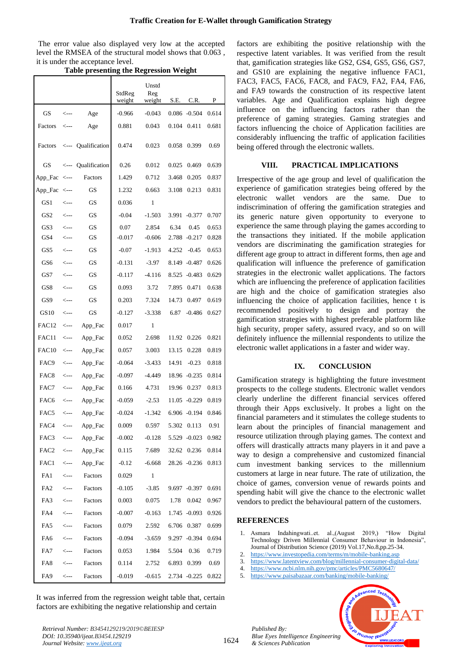The error value also displayed very low at the accepted level the RMSEA of the structural model shows that 0.063 , it is under the acceptance level.

|                   |                                           |               | StdReg<br>weight | Unstd<br>Reg<br>weight | S.E.  | C.R.            | P     |
|-------------------|-------------------------------------------|---------------|------------------|------------------------|-------|-----------------|-------|
| GS                | $\leftarrow$ ---                          | Age           | $-0.966$         | $-0.043$               |       | $0.086 - 0.504$ | 0.614 |
| Factors           | <---                                      | Age           | 0.881            | 0.043                  | 0.104 | 0.411           | 0.681 |
| Factors           | $\leftarrow$ ---                          | Qualification | 0.474            | 0.023                  | 0.058 | 0.399           | 0.69  |
| GS                | <---                                      | Qualification | 0.26             | 0.012                  | 0.025 | 0.469           | 0.639 |
| App_Fac           | <---                                      | Factors       | 1.429            | 0.712                  | 3.468 | 0.205           | 0.837 |
| App_Fac           | <---                                      | GS            | 1.232            | 0.663                  | 3.108 | 0.213           | 0.831 |
| GS <sub>1</sub>   | <---                                      | GS            | 0.036            | $\mathbf{1}$           |       |                 |       |
| GS <sub>2</sub>   | <---                                      | GS            | $-0.04$          | $-1.503$               | 3.991 | $-0.377$        | 0.707 |
| GS3               | <---                                      | GS            | 0.07             | 2.854                  | 6.34  | 0.45            | 0.653 |
| GS4               | $\leftarrow$ --                           | GS            | $-0.017$         | $-0.606$               | 2.788 | $-0.217$        | 0.828 |
| GS5               | <---                                      | GS            | $-0.07$          | $-1.913$               | 4.252 | $-0.45$         | 0.653 |
| GS6               | <---                                      | <b>GS</b>     | $-0.131$         | $-3.97$                | 8.149 | $-0.487$        | 0.626 |
| GS7               | $\leftarrow$                              | GS            | $-0.117$         | $-4.116$               | 8.525 | $-0.483$        | 0.629 |
| GS8               | <---                                      | GS            | 0.093            | 3.72                   | 7.895 | 0.471           | 0.638 |
| GS9               | <---                                      | GS            | 0.203            | 7.324                  | 14.73 | 0.497           | 0.619 |
| GS10              | <---                                      | GS            | $-0.127$         | $-3.338$               | 6.87  | $-0.486$        | 0.627 |
| FAC <sub>12</sub> | <---                                      | App_Fac       | 0.017            | 1                      |       |                 |       |
| FAC11             | <---                                      | App_Fac       | 0.052            | 2.698                  | 11.92 | 0.226           | 0.821 |
| FAC <sub>10</sub> | <---                                      | App_Fac       | 0.057            | 3.003                  | 13.15 | 0.228           | 0.819 |
| FAC9              | <---                                      | App_Fac       | $-0.064$         | $-3.433$               | 14.91 | $-0.23$         | 0.818 |
| FAC <sub>8</sub>  | <---                                      | App_Fac       | $-0.097$         | $-4.449$               | 18.96 | $-0.235$        | 0.814 |
| FAC7              | <---                                      | App_Fac       | 0.166            | 4.731                  | 19.96 | 0.237           | 0.813 |
| FAC6              | <---                                      | App_Fac       | $-0.059$         | $-2.53$                | 11.05 | $-0.229$        | 0.819 |
| FAC5              | <---                                      | App_Fac       | $-0.024$         | $-1.342$               |       | 6.906 -0.194    | 0.846 |
| FAC4              | $\leftarrow$ ---                          | App_Fac       | 0.009            | 0.597                  |       | 5.302 0.113     | 0.91  |
| FAC3              |                                           | App_Fac       | $-0.002$         | $-0.128$               |       | 5.529 -0.023    | 0.982 |
| FAC2              | $\leftarrow$ --                           | App_Fac       | 0.115            | 7.689                  |       | 32.62 0.236     | 0.814 |
| FAC1              | $\leftarrow$ --                           | App_Fac       | $-0.12$          | $-6.668$               |       | 28.26 -0.236    | 0.813 |
| FA1               | $\leftarrow$ --                           | Factors       | 0.029            | 1                      |       |                 |       |
| FA <sub>2</sub>   | $\leftarrow$ --                           | Factors       | $-0.105$         | $-3.85$                |       | 9.697 -0.397    | 0.691 |
| FA3               | $\leftarrow$ --                           | Factors       | 0.003            | 0.075                  | 1.78  | 0.042           | 0.967 |
| FA4               | <---                                      | Factors       | $-0.007$         | $-0.163$               |       | 1.745 -0.093    | 0.926 |
| FA5               | $\leftarrow$ --                           | Factors       | 0.079            | 2.592                  | 6.706 | 0.387           | 0.699 |
| FA6               | $\leftarrow$ ---                          | Factors       | $-0.094$         | $-3.659$               |       | 9.297 -0.394    | 0.694 |
| FA7               | $\leftarrow$ ---                          | Factors       | 0.053            | 1.984                  | 5.504 | 0.36            | 0.719 |
| FA8               | $\operatorname{\!<\!}-\operatorname{\!-}$ | Factors       | 0.114            | 2.752                  | 6.893 | 0.399           | 0.69  |
| FA9               | <---                                      | Factors       | $-0.019$         | $-0.615$               |       | 2.734 -0.225    | 0.822 |

**Table presenting the Regression Weight**

It was inferred from the regression weight table that, certain factors are exhibiting the negative relationship and certain

factors are exhibiting the positive relationship with the respective latent variables. It was verified from the result that, gamification strategies like GS2, GS4, GS5, GS6, GS7, and GS10 are explaining the negative influence FAC1, FAC3, FAC5, FAC6, FAC8, and FAC9, FA2, FA4, FA6, and FA9 towards the construction of its respective latent variables. Age and Qualification explains high degree influence on the influencing factors rather than the preference of gaming strategies. Gaming strategies and factors influencing the choice of Application facilities are considerably influencing the traffic of application facilities being offered through the electronic wallets.

# **VIII. PRACTICAL IMPLICATIONS**

Irrespective of the age group and level of qualification the experience of gamification strategies being offered by the electronic wallet vendors are the same. Due to indiscrimination of offering the gamification strategies and its generic nature given opportunity to everyone to experience the same through playing the games according to the transactions they initiated. If the mobile application vendors are discriminating the gamification strategies for different age group to attract in different forms, then age and qualification will influence the preference of gamification strategies in the electronic wallet applications. The factors which are influencing the preference of application facilities are high and the choice of gamification strategies also influencing the choice of application facilities, hence t is recommended positively to design and portray the gamification strategies with highest preferable platform like high security, proper safety, assured rvacy, and so on will definitely influence the millennial respondents to utilize the electronic wallet applications in a faster and wider way.

# **IX. CONCLUSION**

Gamification strategy is highlighting the future investment prospects to the college students. Electronic wallet vendors clearly underline the different financial services offered through their Apps exclusively. It probes a light on the financial parameters and it stimulates the college students to learn about the principles of financial management and resource utilization through playing games. The context and offers will drastically attracts many players in it and pave a way to design a comprehensive and customized financial cum investment banking services to the millennium customers at large in near future. The rate of utilization, the choice of games, conversion venue of rewards points and spending habit will give the chance to the electronic wallet vendors to predict the behavioural pattern of the customers.

# **REFERENCES**

*Published By:*

*& Sciences Publication* 

- 1. Asmara Indahingwati..et. al.,(August 2019,) "How Digital Technology Driven Millennial Consumer Behaviour in Indonesia", Journal of Distribution Science (2019) Vol.17,No.8,pp.25-34.
- 2. <https://www.investopedia.com/terms/m/mobile-banking.asp>
- 3. <https://www.latentview.com/blog/millennial-consumer-digital-data/> 4. <https://www.ncbi.nlm.nih.gov/pmc/articles/PMC5680647/>
- 
- 5. <https://www.paisabazaar.com/banking/mobile-banking/>



*Retrieval Number: B3454129219/2019©BEIESP DOI: 10.35940/ijeat.B3454.129219 Journal Website[: www.ijeat.org](http://www.ijeat.org/)*